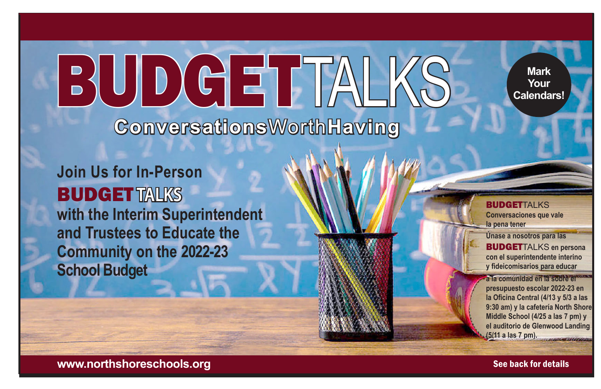**Mark Your Calendars!**

**Join Us for In-Person**  BUDGET **TALKS with the Interim Superintendent and Trustees to Educate the Community on the 2022-23 School Budget**

BUDGETTALK

**Conversations**Worth**Having**

BUDGETTALKS **Conversaciones que vale la pena tener**

**Únase a nosotros para las** BUDGETTALKS **en persona con el superintendente interino y fideicomisarios para educar** 

**a la comunidad en la sobre el presupuesto escolar 2022-23 en la Oficina Central (4/13 y 5/3 a las 9:30 am) y la cafetería North Shore Middle School (4/25 a las 7 pm) y el auditorio de Glenwood Landing (5/11 a las 7 pm).** 

**www.northshoreschools.org** See back for details